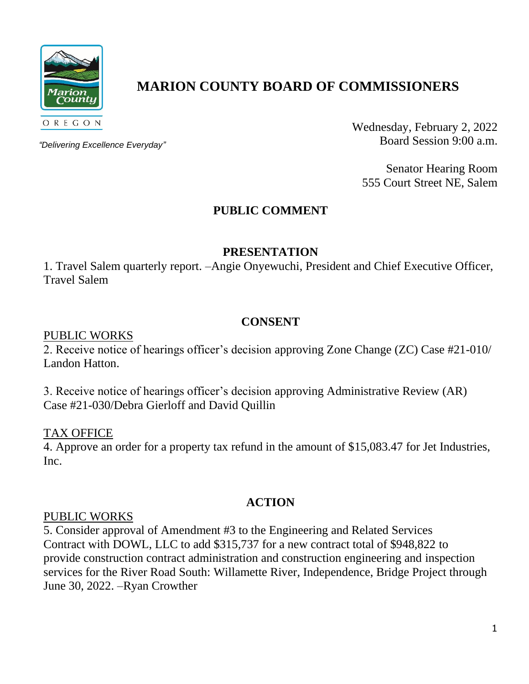

# **MARION COUNTY BOARD OF COMMISSIONERS**

*"Delivering Excellence Everyday"*

Wednesday, February 2, 2022 Board Session 9:00 a.m.

Senator Hearing Room 555 Court Street NE, Salem

# **PUBLIC COMMENT**

#### **PRESENTATION**

1. Travel Salem quarterly report. –Angie Onyewuchi, President and Chief Executive Officer, Travel Salem

#### **CONSENT**

#### PUBLIC WORKS

2. Receive notice of hearings officer's decision approving Zone Change (ZC) Case #21-010/ Landon Hatton.

3. Receive notice of hearings officer's decision approving Administrative Review (AR) Case #21-030/Debra Gierloff and David Quillin

#### TAX OFFICE

4. Approve an order for a property tax refund in the amount of \$15,083.47 for Jet Industries, Inc.

## **ACTION**

#### PUBLIC WORKS

5. Consider approval of Amendment #3 to the Engineering and Related Services Contract with DOWL, LLC to add \$315,737 for a new contract total of \$948,822 to provide construction contract administration and construction engineering and inspection services for the River Road South: Willamette River, Independence, Bridge Project through June 30, 2022. –Ryan Crowther